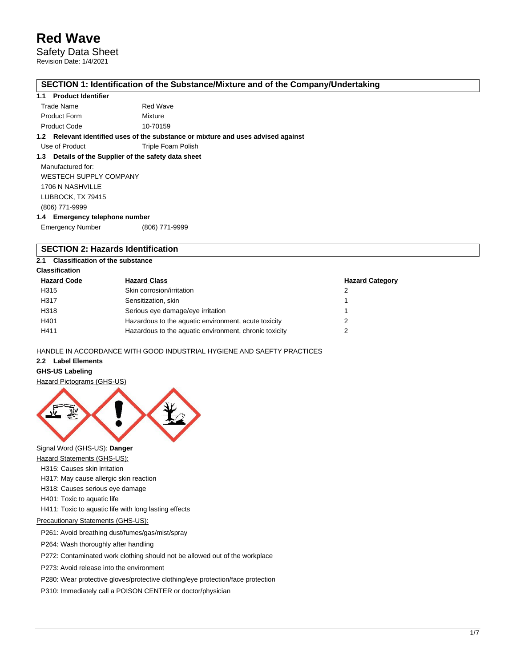Safety Data Sheet Revision Date: 1/4/2021

#### **SECTION 1: Identification of the Substance/Mixture and of the Company/Undertaking**

#### **1.1 Product Identifier**

| Trade Name          | Red Wave |
|---------------------|----------|
| <b>Product Form</b> | Mixture  |
| <b>Product Code</b> | 10-70159 |

**1.2 Relevant identified uses of the substance or mixture and uses advised against**

Use of Product Triple Foam Polish

#### **1.3 Details of the Supplier of the safety data sheet**

Manufactured for: WESTECH SUPPLY COMPANY 1706 N NASHVILLE LUBBOCK, TX 79415 (806) 771-9999 **1.4 Emergency telephone number**

Emergency Number (806) 771-9999

#### **SECTION 2: Hazards Identification**

#### **2.1 Classification of the substance**

| <b>Hazard Code</b> | <b>Hazard Class</b>                                    | <b>Hazard Category</b> |
|--------------------|--------------------------------------------------------|------------------------|
| H315               | Skin corrosion/irritation                              | 2                      |
| H317               | Sensitization, skin                                    |                        |
| H318               | Serious eye damage/eye irritation                      |                        |
| H401               | Hazardous to the aquatic environment, acute toxicity   |                        |
| H411               | Hazardous to the aquatic environment, chronic toxicity | າ                      |

HANDLE IN ACCORDANCE WITH GOOD INDUSTRIAL HYGIENE AND SAEFTY PRACTICES

#### **2.2 Label Elements**

#### **GHS-US Labeling**

Hazard Pictograms (GHS-US)



Signal Word (GHS-US): **Danger**

- Hazard Statements (GHS-US):
- H315: Causes skin irritation
- H317: May cause allergic skin reaction
- H318: Causes serious eye damage
- H401: Toxic to aquatic life
- H411: Toxic to aquatic life with long lasting effects

#### Precautionary Statements (GHS-US):

P261: Avoid breathing dust/fumes/gas/mist/spray

P264: Wash thoroughly after handling

P272: Contaminated work clothing should not be allowed out of the workplace

P273: Avoid release into the environment

P280: Wear protective gloves/protective clothing/eye protection/face protection

P310: Immediately call a POISON CENTER or doctor/physician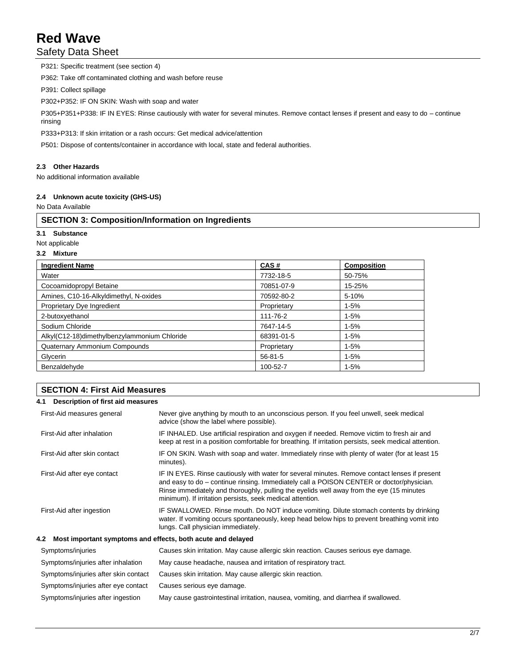### Safety Data Sheet

P321: Specific treatment (see section 4) P362: Take off contaminated clothing and wash before reuse P391: Collect spillage P302+P352: IF ON SKIN: Wash with soap and water P305+P351+P338: IF IN EYES: Rinse cautiously with water for several minutes. Remove contact lenses if present and easy to do – continue rinsing

P333+P313: If skin irritation or a rash occurs: Get medical advice/attention

P501: Dispose of contents/container in accordance with local, state and federal authorities.

#### **2.3 Other Hazards**

No additional information available

#### **2.4 Unknown acute toxicity (GHS-US)**

No Data Available

#### **SECTION 3: Composition/Information on Ingredients**

**3.1 Substance**

Not applicable

#### **3.2 Mixture**

| <b>Ingredient Name</b>                       | CAS#          | <b>Composition</b> |
|----------------------------------------------|---------------|--------------------|
| Water                                        | 7732-18-5     | 50-75%             |
| Cocoamidopropyl Betaine                      | 70851-07-9    | 15-25%             |
| Amines, C10-16-Alkyldimethyl, N-oxides       | 70592-80-2    | 5-10%              |
| Proprietary Dye Ingredient                   | Proprietary   | $1 - 5%$           |
| 2-butoxyethanol                              | 111-76-2      | $1 - 5%$           |
| Sodium Chloride                              | 7647-14-5     | $1 - 5%$           |
| Alkyl(C12-18)dimethylbenzylammonium Chloride | 68391-01-5    | $1 - 5%$           |
| Quaternary Ammonium Compounds                | Proprietary   | $1 - 5%$           |
| Glycerin                                     | $56 - 81 - 5$ | $1 - 5%$           |
| Benzaldehyde                                 | 100-52-7      | $1 - 5%$           |

#### **SECTION 4: First Aid Measures**

#### **4.1 Description of first aid measures**

| First-Aid measures general                                         | Never give anything by mouth to an unconscious person. If you feel unwell, seek medical<br>advice (show the label where possible).                                                                                                                                                                                                                 |
|--------------------------------------------------------------------|----------------------------------------------------------------------------------------------------------------------------------------------------------------------------------------------------------------------------------------------------------------------------------------------------------------------------------------------------|
| First-Aid after inhalation                                         | IF INHALED. Use artificial respiration and oxygen if needed. Remove victim to fresh air and<br>keep at rest in a position comfortable for breathing. If irritation persists, seek medical attention.                                                                                                                                               |
| First-Aid after skin contact                                       | IF ON SKIN. Wash with soap and water. Immediately rinse with plenty of water (for at least 15<br>minutes).                                                                                                                                                                                                                                         |
| First-Aid after eye contact                                        | IF IN EYES. Rinse cautiously with water for several minutes. Remove contact lenses if present<br>and easy to do – continue rinsing. Immediately call a POISON CENTER or doctor/physician.<br>Rinse immediately and thoroughly, pulling the eyelids well away from the eye (15 minutes<br>minimum). If irritation persists, seek medical attention. |
| First-Aid after ingestion                                          | IF SWALLOWED. Rinse mouth. Do NOT induce vomiting. Dilute stomach contents by drinking<br>water. If vomiting occurs spontaneously, keep head below hips to prevent breathing vomit into<br>lungs. Call physician immediately.                                                                                                                      |
| Most important symptoms and effects, both acute and delayed<br>4.2 |                                                                                                                                                                                                                                                                                                                                                    |
| Symptoms/injuries                                                  | Causes skin irritation. May cause allergic skin reaction. Causes serious eye damage.                                                                                                                                                                                                                                                               |
| Symptoms/injuries after inhalation                                 | May cause headache, nausea and irritation of respiratory tract.                                                                                                                                                                                                                                                                                    |
| Symptoms/injuries after skin contact                               | Causes skin irritation. May cause allergic skin reaction.                                                                                                                                                                                                                                                                                          |
| Symptoms/injuries after eye contact                                | Causes serious eye damage.                                                                                                                                                                                                                                                                                                                         |
| Symptoms/injuries after ingestion                                  | May cause gastrointestinal irritation, nausea, vomiting, and diarrhea if swallowed.                                                                                                                                                                                                                                                                |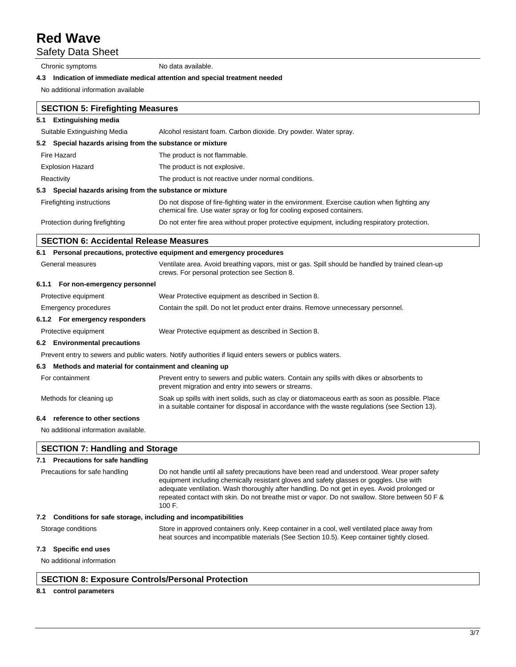Safety Data Sheet

Chronic symptoms No data available.

#### **4.3 Indication of immediate medical attention and special treatment needed**

No additional information available

|     | <b>SECTION 5: Firefighting Measures</b>                   |                                                                                                                                                                       |
|-----|-----------------------------------------------------------|-----------------------------------------------------------------------------------------------------------------------------------------------------------------------|
| 5.1 | <b>Extinguishing media</b>                                |                                                                                                                                                                       |
|     | Suitable Extinguishing Media                              | Alcohol resistant foam. Carbon dioxide. Dry powder. Water spray.                                                                                                      |
|     | 5.2 Special hazards arising from the substance or mixture |                                                                                                                                                                       |
|     | Fire Hazard                                               | The product is not flammable.                                                                                                                                         |
|     | <b>Explosion Hazard</b>                                   | The product is not explosive.                                                                                                                                         |
|     | Reactivity                                                | The product is not reactive under normal conditions.                                                                                                                  |
|     | 5.3 Special hazards arising from the substance or mixture |                                                                                                                                                                       |
|     | Firefighting instructions                                 | Do not dispose of fire-fighting water in the environment. Exercise caution when fighting any<br>chemical fire. Use water spray or fog for cooling exposed containers. |
|     | Protection during firefighting                            | Do not enter fire area without proper protective equipment, including respiratory protection.                                                                         |

#### **SECTION 6: Accidental Release Measures**

|                  |                                                          | 6.1 Personal precautions, protective equipment and emergency procedures                                                                           |  |  |
|------------------|----------------------------------------------------------|---------------------------------------------------------------------------------------------------------------------------------------------------|--|--|
| General measures |                                                          | Ventilate area. Avoid breathing vapors, mist or gas. Spill should be handled by trained clean-up<br>crews. For personal protection see Section 8. |  |  |
|                  | 6.1.1 For non-emergency personnel                        |                                                                                                                                                   |  |  |
|                  | Protective equipment                                     | Wear Protective equipment as described in Section 8.                                                                                              |  |  |
|                  | Emergency procedures                                     | Contain the spill. Do not let product enter drains. Remove unnecessary personnel.                                                                 |  |  |
|                  | 6.1.2 For emergency responders                           |                                                                                                                                                   |  |  |
|                  | Protective equipment                                     | Wear Protective equipment as described in Section 8.                                                                                              |  |  |
|                  | 6.2 Environmental precautions                            |                                                                                                                                                   |  |  |
|                  |                                                          | Prevent entry to sewers and public waters. Notify authorities if liquid enters sewers or publics waters.                                          |  |  |
|                  | 6.3 Methods and material for containment and cleaning up |                                                                                                                                                   |  |  |
|                  | For containment                                          | Prevent entry to sewers and public waters. Contain any spills with dikes or absorbents to<br>prevent migration and entry into sewers or streams.  |  |  |

Methods for cleaning up Soak up spills with inert solids, such as clay or diatomaceous earth as soon as possible. Place

in a suitable container for disposal in accordance with the waste regulations (see Section 13).

#### **6.4 reference to other sections**

No additional information available.

#### **SECTION 7: Handling and Storage**

#### **7.1 Precautions for safe handling**

| Precautions for safe handling                                    | Do not handle until all safety precautions have been read and understood. Wear proper safety<br>equipment including chemically resistant gloves and safety glasses or goggles. Use with<br>adequate ventilation. Wash thoroughly after handling. Do not get in eyes. Avoid prolonged or<br>repeated contact with skin. Do not breathe mist or vapor. Do not swallow. Store between 50 F &<br>100 F. |
|------------------------------------------------------------------|-----------------------------------------------------------------------------------------------------------------------------------------------------------------------------------------------------------------------------------------------------------------------------------------------------------------------------------------------------------------------------------------------------|
| 7.2 Conditions for safe storage, including and incompatibilities |                                                                                                                                                                                                                                                                                                                                                                                                     |
| Storage conditions                                               | Store in approved containers only. Keep container in a cool, well ventilated place away from<br>heat sources and incompatible materials (See Section 10.5). Keep container tightly closed.                                                                                                                                                                                                          |

#### **7.3 Specific end uses**

No additional information

#### **SECTION 8: Exposure Controls/Personal Protection**

#### **8.1 control parameters**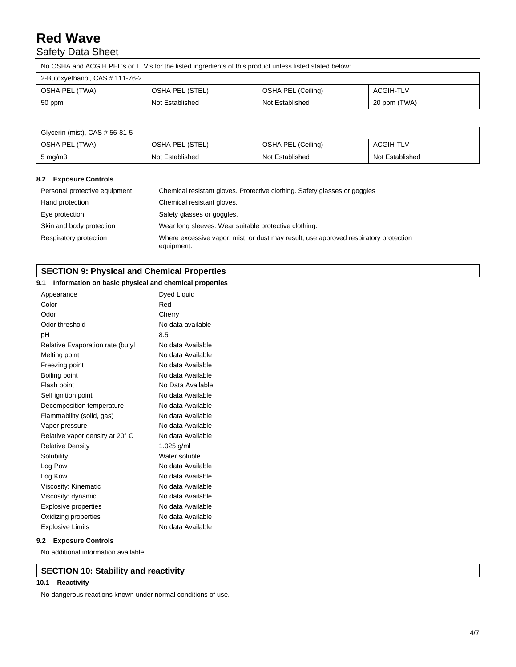### Safety Data Sheet

No OSHA and ACGIH PEL's or TLV's for the listed ingredients of this product unless listed stated below:

| 2-Butoxyethanol, CAS # 111-76-2 |                 |                    |              |
|---------------------------------|-----------------|--------------------|--------------|
| OSHA PEL (TWA)                  | OSHA PEL (STEL) | OSHA PEL (Ceiling) | ACGIH-TLV    |
| $50$ ppm                        | Not Established | Not Established    | 20 ppm (TWA) |

| Glycerin (mist), CAS # 56-81-5 |                 |                    |                 |
|--------------------------------|-----------------|--------------------|-----------------|
| OSHA PEL (TWA)                 | OSHA PEL (STEL) | OSHA PEL (Ceiling) | ACGIH-TLV       |
| $5 \text{ mg/m}$               | Not Established | Not Established    | Not Established |

#### **8.2 Exposure Controls**

| Personal protective equipment | Chemical resistant gloves. Protective clothing. Safety glasses or goggles                          |
|-------------------------------|----------------------------------------------------------------------------------------------------|
| Hand protection               | Chemical resistant gloves.                                                                         |
| Eye protection                | Safety glasses or goggles.                                                                         |
| Skin and body protection      | Wear long sleeves. Wear suitable protective clothing.                                              |
| Respiratory protection        | Where excessive vapor, mist, or dust may result, use approved respiratory protection<br>equipment. |

#### **SECTION 9: Physical and Chemical Properties**

#### **9.1 Information on basic physical and chemical properties**

| Appearance                       | Dyed Liquid       |
|----------------------------------|-------------------|
| Color                            | Red               |
| Odor                             | Cherry            |
| Odor threshold                   | No data available |
| pН                               | 8.5               |
| Relative Evaporation rate (butyl | No data Available |
| Melting point                    | No data Available |
| Freezing point                   | No data Available |
| Boiling point                    | No data Available |
| Flash point                      | No Data Available |
| Self ignition point              | No data Available |
| Decomposition temperature        | No data Available |
| Flammability (solid, gas)        | No data Available |
| Vapor pressure                   | No data Available |
| Relative vapor density at 20° C  | No data Available |
| <b>Relative Density</b>          | 1.025 $g/ml$      |
| Solubility                       | Water soluble     |
| Log Pow                          | No data Available |
| Log Kow                          | No data Available |
| Viscosity: Kinematic             | No data Available |
| Viscosity: dynamic               | No data Available |
| <b>Explosive properties</b>      | No data Available |
| Oxidizing properties             | No data Available |
| <b>Explosive Limits</b>          | No data Available |

#### **9.2 Exposure Controls**

No additional information available

#### **SECTION 10: Stability and reactivity**

#### **10.1 Reactivity**

No dangerous reactions known under normal conditions of use.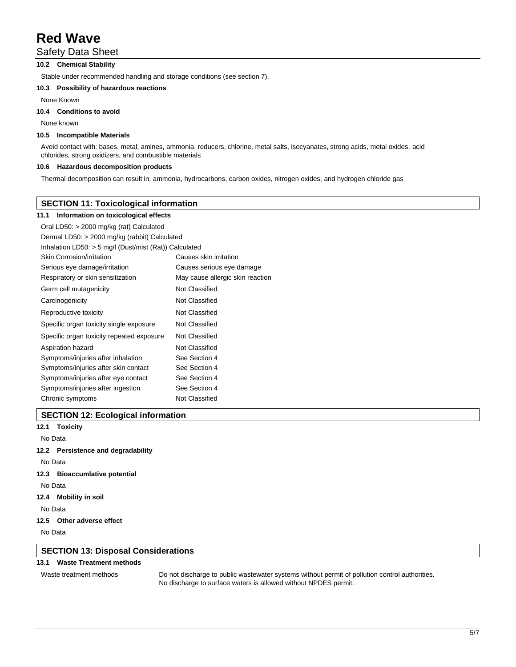#### Safety Data Sheet

#### **10.2 Chemical Stability**

Stable under recommended handling and storage conditions (see section 7).

#### **10.3 Possibility of hazardous reactions**

None Known

#### **10.4 Conditions to avoid**

None known

#### **10.5 Incompatible Materials**

Avoid contact with: bases, metal, amines, ammonia, reducers, chlorine, metal salts, isocyanates, strong acids, metal oxides, acid chlorides, strong oxidizers, and combustible materials

#### **10.6 Hazardous decomposition products**

Thermal decomposition can result in: ammonia, hydrocarbons, carbon oxides, nitrogen oxides, and hydrogen chloride gas

#### **SECTION 11: Toxicological information**

#### **11.1 Information on toxicological effects**

| Oral LD50: > 2000 mg/kg (rat) Calculated                 |                                  |
|----------------------------------------------------------|----------------------------------|
| Dermal LD50: > 2000 mg/kg (rabbit) Calculated            |                                  |
| Inhalation LD50: $>$ 5 mg/l (Dust/mist (Rat)) Calculated |                                  |
| Skin Corrosion/irritation                                | Causes skin irritation           |
| Serious eye damage/irritation                            | Causes serious eye damage        |
| Respiratory or skin sensitization                        | May cause allergic skin reaction |
| Germ cell mutagenicity                                   | Not Classified                   |
| Carcinogenicity                                          | Not Classified                   |
| Reproductive toxicity                                    | Not Classified                   |
| Specific organ toxicity single exposure                  | Not Classified                   |
| Specific organ toxicity repeated exposure                | Not Classified                   |
| Aspiration hazard                                        | Not Classified                   |
| Symptoms/injuries after inhalation                       | See Section 4                    |
| Symptoms/injuries after skin contact                     | See Section 4                    |
| Symptoms/injuries after eye contact                      | See Section 4                    |
| Symptoms/injuries after ingestion                        | See Section 4                    |
| Chronic symptoms                                         | Not Classified                   |

#### **SECTION 12: Ecological information**

**12.1 Toxicity** No Data **12.2 Persistence and degradability** No Data

- **12.3 Bioaccumlative potential**
- No Data
- **12.4 Mobility in soil**

No Data

**12.5 Other adverse effect**

No Data

#### **SECTION 13: Disposal Considerations**

#### **13.1 Waste Treatment methods**

Waste treatment methods Do not discharge to public wastewater systems without permit of pollution control authorities. No discharge to surface waters is allowed without NPDES permit.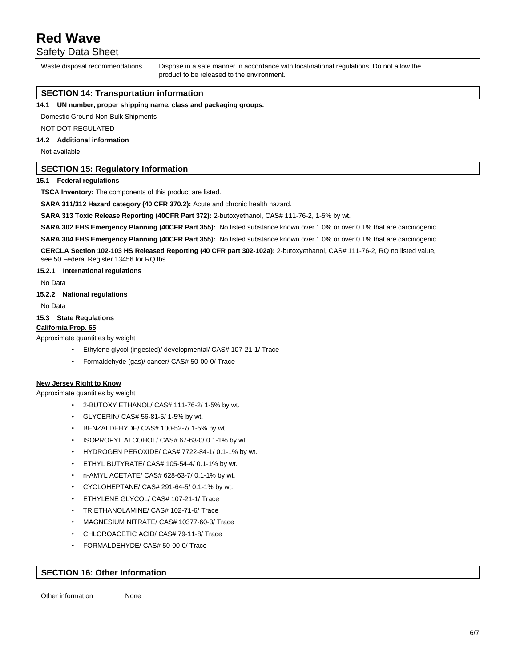Safety Data Sheet

Waste disposal recommendations Dispose in a safe manner in accordance with local/national regulations. Do not allow the product to be released to the environment.

#### **SECTION 14: Transportation information**

**14.1 UN number, proper shipping name, class and packaging groups.**

Domestic Ground Non-Bulk Shipments

NOT DOT REGULATED

#### **14.2 Additional information**

Not available

#### **SECTION 15: Regulatory Information**

#### **15.1 Federal regulations**

**TSCA Inventory:** The components of this product are listed.

**SARA 311/312 Hazard category (40 CFR 370.2):** Acute and chronic health hazard.

**SARA 313 Toxic Release Reporting (40CFR Part 372):** 2-butoxyethanol, CAS# 111-76-2, 1-5% by wt.

**SARA 302 EHS Emergency Planning (40CFR Part 355):** No listed substance known over 1.0% or over 0.1% that are carcinogenic.

**SARA 304 EHS Emergency Planning (40CFR Part 355):** No listed substance known over 1.0% or over 0.1% that are carcinogenic.

**CERCLA Section 102-103 HS Released Reporting (40 CFR part 302-102a):** 2-butoxyethanol, CAS# 111-76-2, RQ no listed value, see 50 Federal Register 13456 for RQ lbs.

#### **15.2.1 International regulations**

No Data

#### **15.2.2 National regulations**

No Data

#### **15.3 State Regulations**

#### **California Prop. 65**

Approximate quantities by weight

- Ethylene glycol (ingested)/ developmental/ CAS# 107-21-1/ Trace
- Formaldehyde (gas)/ cancer/ CAS# 50-00-0/ Trace

#### **New Jersey Right to Know**

Approximate quantities by weight

- 2-BUTOXY ETHANOL/ CAS# 111-76-2/ 1-5% by wt.
- GLYCERIN/ CAS# 56-81-5/ 1-5% by wt.
- BENZALDEHYDE/ CAS# 100-52-7/ 1-5% by wt.
- ISOPROPYL ALCOHOL/ CAS# 67-63-0/ 0.1-1% by wt.
- HYDROGEN PEROXIDE/ CAS# 7722-84-1/ 0.1-1% by wt.
- ETHYL BUTYRATE/ CAS# 105-54-4/ 0.1-1% by wt.
- n-AMYL ACETATE/ CAS# 628-63-7/ 0.1-1% by wt.
- CYCLOHEPTANE/ CAS# 291-64-5/ 0.1-1% by wt.
- ETHYLENE GLYCOL/ CAS# 107-21-1/ Trace
- TRIETHANOLAMINE/ CAS# 102-71-6/ Trace
- MAGNESIUM NITRATE/ CAS# 10377-60-3/ Trace
- CHLOROACETIC ACID/ CAS# 79-11-8/ Trace
- FORMALDEHYDE/ CAS# 50-00-0/ Trace

#### **SECTION 16: Other Information**

Other information None

6/7